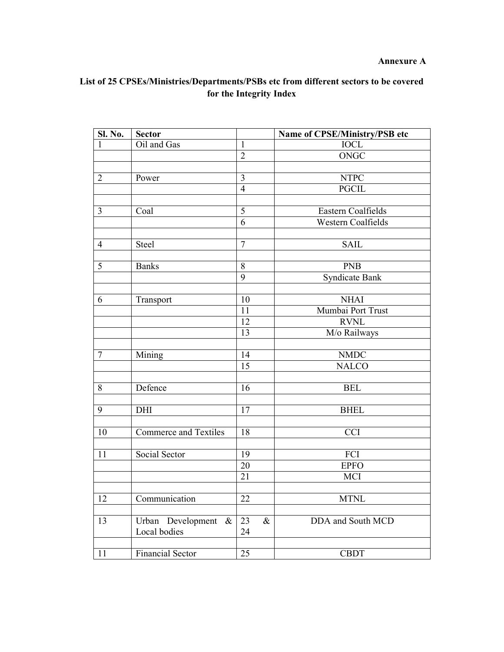## **Annexure A**

## **List of 25 CPSEs/Ministries/Departments/PSBs etc from different sectors to be covered for the Integrity Index**

| Sl. No.         | <b>Sector</b>                |                 | Name of CPSE/Ministry/PSB etc |
|-----------------|------------------------------|-----------------|-------------------------------|
| 1               | Oil and Gas                  | $\mathbf{1}$    | IOCL                          |
|                 |                              | $\overline{2}$  | <b>ONGC</b>                   |
|                 |                              |                 |                               |
| $\overline{2}$  | Power                        | 3               | <b>NTPC</b>                   |
|                 |                              | $\overline{4}$  | <b>PGCIL</b>                  |
|                 |                              |                 |                               |
| $\overline{3}$  | Coal                         | 5               | Eastern Coalfields            |
|                 |                              | 6               | Western Coalfields            |
|                 |                              |                 |                               |
| $\overline{4}$  | Steel                        | $\tau$          | <b>SAIL</b>                   |
| $\overline{5}$  |                              |                 |                               |
|                 | <b>Banks</b>                 | $8\,$<br>9      | <b>PNB</b>                    |
|                 |                              |                 | <b>Syndicate Bank</b>         |
| 6               | Transport                    | 10              | <b>NHAI</b>                   |
|                 |                              | 11              | Mumbai Port Trust             |
|                 |                              | 12              | <b>RVNL</b>                   |
|                 |                              | 13              | M/o Railways                  |
|                 |                              |                 |                               |
| $\overline{7}$  | Mining                       | 14              | <b>NMDC</b>                   |
|                 |                              | 15              | <b>NALCO</b>                  |
|                 |                              |                 |                               |
| 8               | Defence                      | 16              | <b>BEL</b>                    |
|                 |                              |                 |                               |
| 9               | DHI                          | 17              | <b>BHEL</b>                   |
|                 |                              |                 |                               |
| 10              | <b>Commerce and Textiles</b> | $\overline{18}$ | <b>CCI</b>                    |
|                 |                              |                 |                               |
| 11              | Social Sector                | 19              | FCI                           |
|                 |                              | 20              | <b>EPFO</b>                   |
|                 |                              | 21              | MCI                           |
|                 |                              |                 |                               |
| $\overline{12}$ | Communication                | $\overline{22}$ | <b>MTNL</b>                   |
| 13              | Urban Development $\&$       | $\&$<br>23      | DDA and South MCD             |
|                 | Local bodies                 | 24              |                               |
|                 |                              |                 |                               |
| 11              | <b>Financial Sector</b>      | 25              | <b>CBDT</b>                   |
|                 |                              |                 |                               |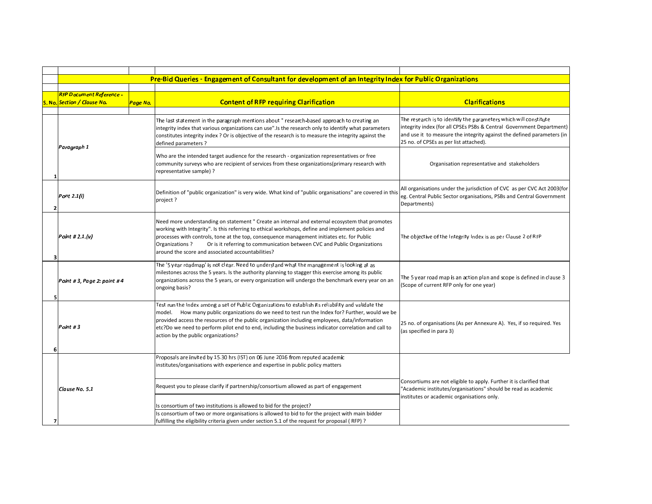|   | Pre-Bid Queries - Engagement of Consultant for development of an Integrity Index for Public Organizations |          |                                                                                                                                                                                                                                                                                                                                                                                                                                                          |                                                                                                                                                                                                                                                              |
|---|-----------------------------------------------------------------------------------------------------------|----------|----------------------------------------------------------------------------------------------------------------------------------------------------------------------------------------------------------------------------------------------------------------------------------------------------------------------------------------------------------------------------------------------------------------------------------------------------------|--------------------------------------------------------------------------------------------------------------------------------------------------------------------------------------------------------------------------------------------------------------|
|   |                                                                                                           |          |                                                                                                                                                                                                                                                                                                                                                                                                                                                          |                                                                                                                                                                                                                                                              |
|   | <b>RFP Document Reference -</b>                                                                           |          |                                                                                                                                                                                                                                                                                                                                                                                                                                                          |                                                                                                                                                                                                                                                              |
|   | S. No. Section / Clause No.                                                                               | Page No. | <b>Content of RFP requiring Clarification</b>                                                                                                                                                                                                                                                                                                                                                                                                            | <b>Clarifications</b>                                                                                                                                                                                                                                        |
|   |                                                                                                           |          |                                                                                                                                                                                                                                                                                                                                                                                                                                                          |                                                                                                                                                                                                                                                              |
|   | Paragraph 1                                                                                               |          | The last statement in the paragraph mentions about " research-based approach to creating an<br>integrity index that various organizations can use". Is the research only to identify what parameters<br>constitutes integrity index? Or is objective of the research is to measure the integrity against the<br>defined parameters?                                                                                                                      | The research is to identify the parameters which will constitute<br>integrity index (for all CPSEs PSBs & Central Government Department)<br>and use it to measure the integrity against the defined parameters (in<br>25 no. of CPSEs as per list attached). |
|   |                                                                                                           |          | Who are the intended target audience for the research - organization representatives or free<br>community surveys who are recipient of services from these organizations(primary research with<br>representative sample) ?                                                                                                                                                                                                                               | Organisation representative and stakeholders                                                                                                                                                                                                                 |
|   | <b>Pont 2.1(i)</b>                                                                                        |          | Definition of "public organization" is very wide. What kind of "public organisations" are covered in this<br>project?                                                                                                                                                                                                                                                                                                                                    | All organisations under the jurisdiction of CVC as per CVC Act 2003(for<br>eg. Central Public Sector organisations, PSBs and Central Government<br>Departments)                                                                                              |
|   | Point # 2.1.(v)                                                                                           |          | Need more understanding on statement " Create an internal and external ecosystem that promotes<br>working with Integrity". Is this referring to ethical workshops, define and implement policies and<br>processes with controls, tone at the top, consequence management initiates etc. for Public<br>Organizations?<br>Or is it referring to communication between CVC and Public Organizations<br>around the score and associated accountabilities?    | The objective of the Integrity Index is as per Clause 2 of RFP                                                                                                                                                                                               |
|   | Point # 3, Page 2: point # 4                                                                              |          | The '5 year roadmap' is not clear. Need to understand what the management is looking at as<br>milestones across the 5 years. Is the authority planning to stagger this exercise among its public<br>organizations across the 5 years, or every organization will undergo the benchmark every year on an<br>ongoing basis?                                                                                                                                | The 5 year road map is an action plan and scope is defined in clause 3<br>(Scope of current RFP only for one year)                                                                                                                                           |
| 6 | Point #3                                                                                                  |          | Test run the Index among a set of Public Organizations to establish its reliability and validate the<br>model. How many public organizations do we need to test run the Index for? Further, would we be<br>provided access the resources of the public organization including employees, data/information<br>etc?Do we need to perform pilot end to end, including the business indicator correlation and call to<br>action by the public organizations? | 25 no. of organisations (As per Annexure A). Yes, if so required. Yes<br>(as specified in para 3)                                                                                                                                                            |
|   |                                                                                                           |          | Proposals are invited by 15.30 hrs (IST) on 06 June 2016 from reputed academic<br>institutes/organisations with experience and expertise in public policy matters                                                                                                                                                                                                                                                                                        | Consortiums are not eligible to apply. Further it is clarified that                                                                                                                                                                                          |
| 7 | Clause No. 5.1                                                                                            |          | Request you to please clarify if partnership/consortium allowed as part of engagement<br>Is consortium of two institutions is allowed to bid for the project?<br>Is consortium of two or more organisations is allowed to bid to for the project with main bidder<br>fulfilling the eligibility criteria given under section 5.1 of the request for proposal (RFP) ?                                                                                     | "Academic institutes/organisations" should be read as academic<br>institutes or academic organisations only.                                                                                                                                                 |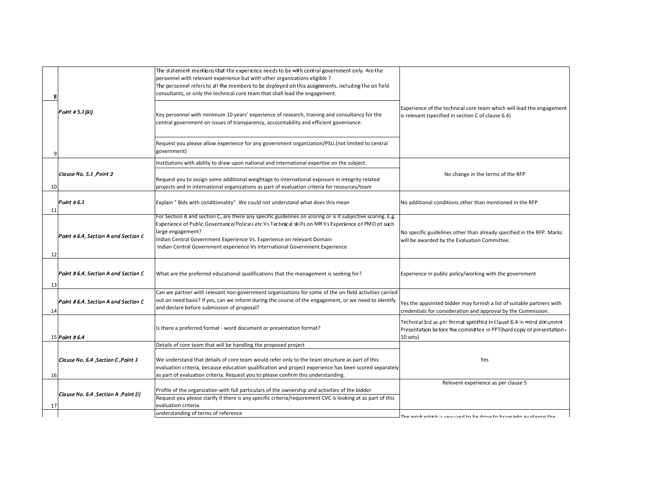|    | 8                                      | The statement mentions that the experience needs to be with central government only. Are the<br>personnel with relevant experience but with other organizations eligible ?<br>The personnel refers to all the members to be deployed on this assignments, including the on field<br>consultants, or only the technical core team that shall lead the engagement.                                |                                                                                                                                                           |
|----|----------------------------------------|-------------------------------------------------------------------------------------------------------------------------------------------------------------------------------------------------------------------------------------------------------------------------------------------------------------------------------------------------------------------------------------------------|-----------------------------------------------------------------------------------------------------------------------------------------------------------|
|    | Point # 5.1(iii)                       | Key personnel with minimum 10 years' experience of research, training and consultancy for the<br>central government on issues of transparency, accountability and efficient governance.                                                                                                                                                                                                         | Experience of the technical core team which will lead the engagement<br>s relevant (specified in section C of clause 6.4)                                 |
|    |                                        | Request you please allow experience for any government organization/PSU.(not limited to central<br>government)                                                                                                                                                                                                                                                                                  |                                                                                                                                                           |
|    |                                        | Institutions with ability to draw upon national and international expertise on the subject.                                                                                                                                                                                                                                                                                                     |                                                                                                                                                           |
| 10 | Clause No. 5.1, Point 2                | Request you to assign some additional weightage to international exposure in integrity related<br>projects and in international organizations as part of evaluation criteria for resources/team                                                                                                                                                                                                 | No change in the terms of the RFP                                                                                                                         |
| 11 | Point # 6.1                            | Explain " Bids with conditionality". We could not understand what does this mean                                                                                                                                                                                                                                                                                                                | No additional conditions other than mentioned in the RFP                                                                                                  |
| 12 | Point # 6.4, Section A and Section C   | For Section A and section C, are there any specific guidelines on scoring or is it subjective scoring. E.g.<br>Experience of Public Governance/Policies etc Vs Technical skills on MR Vs Experience of PMO of such<br>arge engagement?<br>Indian Central Government Experience Vs. Experience on relevant Domain<br>Indian Central Government experience Vs International Government Experience | No specific guidelines other than already specified in the RFP. Marks<br>will be awarded by the Evaluation Committee.                                     |
| 13 | Point # 6.4, Section A and Section C   | What are the preferred educational qualifications that the management is seeking for?                                                                                                                                                                                                                                                                                                           | Experience in public policy/working with the government                                                                                                   |
| 14 | Point # 6.4, Section A and Section C   | Can we partner with relevant non-government organizations for some of the on-field activities carried<br>out on need basis? If yes, can we inform during the course of the engagement, or we need to identify<br>and declare before submission of proposal?                                                                                                                                     | Yes the appointed bidder may furnish a list of suitable partners with<br>credentials for consideration and approval by the Commission.                    |
|    | 15 <i>Point # 6.4</i>                  | Is there a preferred format - word document or presentation format?                                                                                                                                                                                                                                                                                                                             | Technical bid as per format specified in clause 6.4 in word document.<br>Presentation before the committee in PPT(hard copy of presentation -<br>10 sets) |
|    |                                        | Details of core team that will be handling the proposed project                                                                                                                                                                                                                                                                                                                                 |                                                                                                                                                           |
| 16 | Clause No. 6.4, Section C, Point 1     | We understand that details of core team would refer only to the team structure as part of this<br>evaluation criteria, because education qualification and project experience has been scored separately<br>as part of evaluation criteria. Request you to please confirm this understanding.                                                                                                   | Yes                                                                                                                                                       |
|    |                                        |                                                                                                                                                                                                                                                                                                                                                                                                 | Relevent experience as per clause 5                                                                                                                       |
| 17 | (i) Clause No. 6.4 , Section A , Point | Profile of the organization with full particulars of the ownership and activities of the bidder<br>Request you please clarify if there is any specific criteria/requirement CVC is looking at as part of this<br>evaluation criteria.                                                                                                                                                           |                                                                                                                                                           |
|    |                                        | understanding of terms of reference                                                                                                                                                                                                                                                                                                                                                             | The work which is required to be done to bring into evistence the                                                                                         |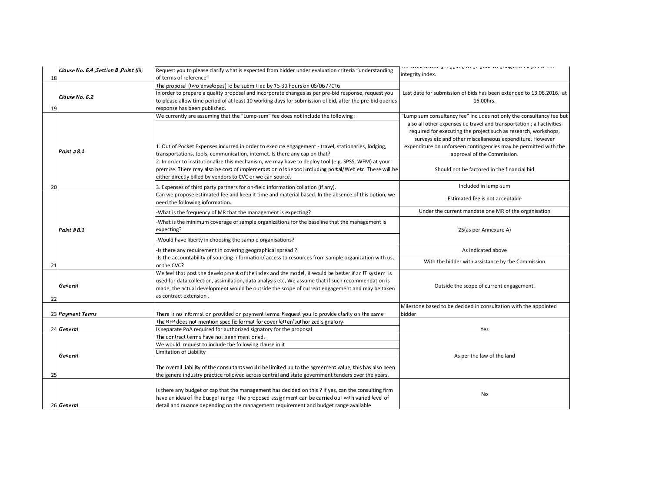|    | Clause No. 6.4 , Section B , Point (iii) | Request you to please clarify what is expected from bidder under evaluation criteria "understanding                      | וווב ממחצ מחומדו מדבלתורבת נה מב תהווב נה מדווג? והנה בעוסרבו ורב רווב<br>integrity index. |  |
|----|------------------------------------------|--------------------------------------------------------------------------------------------------------------------------|--------------------------------------------------------------------------------------------|--|
| 18 |                                          | of terms of reference"                                                                                                   |                                                                                            |  |
|    |                                          | The proposal (two envelopes) to be submitted by 15.30 hours on 06/06 / 2016                                              |                                                                                            |  |
|    | lClause No. 6.2                          | In order to prepare a quality proposal and incorporate changes as per pre-bid response, request you                      | Last date for submission of bids has been extended to 13.06.2016. at                       |  |
|    |                                          | to please allow time period of at least 10 working days for submission of bid, after the pre-bid queries                 | 16.00hrs.                                                                                  |  |
| 19 |                                          | response has been published.                                                                                             |                                                                                            |  |
|    |                                          | We currently are assuming that the "Lump-sum" fee does not include the following :                                       | 'Lump sum consultancy fee" includes not only the consultancy fee but                       |  |
|    |                                          |                                                                                                                          | also all other expenses i.e travel and transportation; all activities                      |  |
|    |                                          |                                                                                                                          | required for executing the project such as research, workshops,                            |  |
|    |                                          |                                                                                                                          | surveys etc and other miscellaneous expenditure. However                                   |  |
|    | Point # 8.1                              | 1. Out of Pocket Expenses incurred in order to execute engagement - travel, stationaries, lodging,                       | expenditure on unforseen contingencies may be permitted with the                           |  |
|    |                                          | transportations, tools, communication, internet. Is there any cap on that?                                               | approval of the Commission.                                                                |  |
|    |                                          | 2. In order to institutionalize this mechanism, we may have to deploy tool (e.g. SPSS, WFM) at your                      |                                                                                            |  |
|    |                                          | premise. There may also be cost of implementation of the tool including portal/Web etc. These will be                    | Should not be factored in the financial bid                                                |  |
|    |                                          | either directly billed by vendors to CVC or we can source.                                                               |                                                                                            |  |
| 20 |                                          | 3. Expenses of third party partners for on-field information collation (if any).                                         | Included in lump-sum                                                                       |  |
|    |                                          | Can we propose estimated fee and keep it time and material based. In the absence of this option, we                      | Estimated fee is not acceptable                                                            |  |
|    |                                          | need the following information.                                                                                          |                                                                                            |  |
|    |                                          | -What is the frequency of MR that the management is expecting?                                                           | Under the current mandate one MR of the organisation                                       |  |
|    |                                          | -What is the minimum coverage of sample organizations for the baseline that the management is                            |                                                                                            |  |
|    | Point # 8.1                              | expecting?                                                                                                               | 25(as per Annexure A)                                                                      |  |
|    |                                          | Would have liberty in choosing the sample organisations?                                                                 |                                                                                            |  |
|    |                                          | -Is there any requirement in covering geographical spread?                                                               | As indicated above                                                                         |  |
|    |                                          | -Is the accountability of sourcing information/access to resources from sample organization with us,                     | With the bidder with assistance by the Commission                                          |  |
| 21 |                                          | or the CVC?                                                                                                              |                                                                                            |  |
|    |                                          | We feel that post the development of the index and the model, it would be better if an IT system is                      |                                                                                            |  |
|    | General                                  | used for data collection, assimilation, data analysis etc, We assume that if such recommendation is                      | Outside the scope of current engagement.                                                   |  |
|    |                                          | made, the actual development would be outside the scope of current engagement and may be taken<br>as contract extension. |                                                                                            |  |
| 22 |                                          |                                                                                                                          |                                                                                            |  |
|    |                                          |                                                                                                                          | Milestone based to be decided in consultation with the appointed                           |  |
|    | 23 Payment Terms                         | There is no information provided on payment terms. Request you to provide clarity on the same.                           | bidder                                                                                     |  |
|    |                                          | The RFP does not mention specific format for cover letter/authorized signatory.                                          |                                                                                            |  |
|    | 24 General                               | Is separate PoA required for authorized signatory for the proposal                                                       | Yes                                                                                        |  |
|    |                                          | The contract terms have not been mentioned.                                                                              |                                                                                            |  |
|    | General                                  | We would request to include the following clause in it                                                                   |                                                                                            |  |
|    |                                          | Limitation of Liability                                                                                                  | As per the law of the land                                                                 |  |
|    |                                          |                                                                                                                          |                                                                                            |  |
|    |                                          | The overall liability of the consultants would be limited up to the agreement value, this has also been                  |                                                                                            |  |
| 25 |                                          | the genera industry practice followed across central and state government tenders over the years.                        |                                                                                            |  |
|    |                                          |                                                                                                                          |                                                                                            |  |
|    |                                          | Is there any budget or cap that the management has decided on this ? If yes, can the consulting firm                     | No                                                                                         |  |
|    |                                          | have an idea of the budget range. The proposed assignment can be carried out with varied level of                        |                                                                                            |  |
|    | 26 General                               | detail and nuance depending on the management requirement and budget range available                                     |                                                                                            |  |